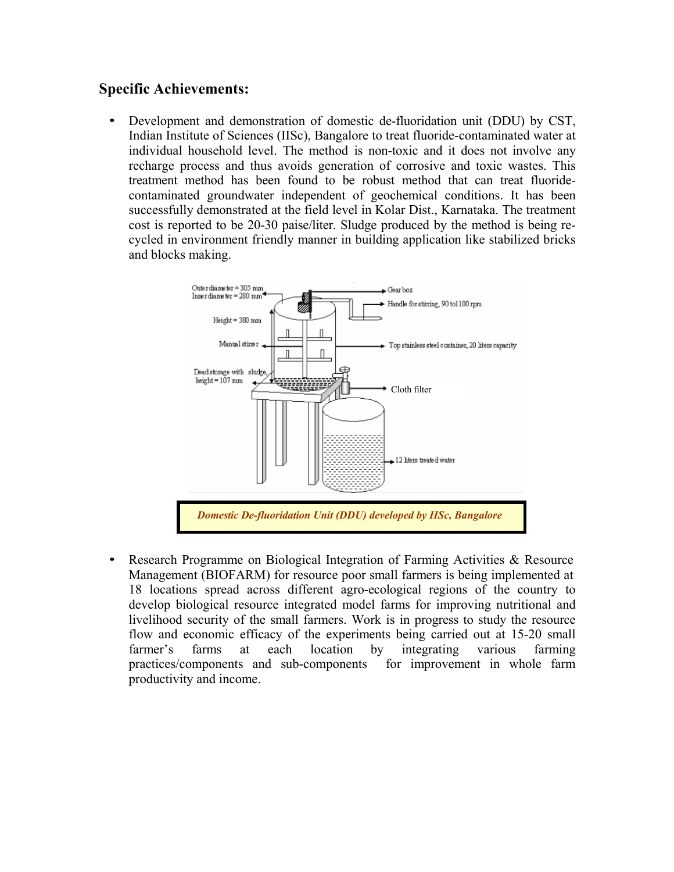## **Specific Achievements:**

• Development and demonstration of domestic de-fluoridation unit (DDU) by CST, Indian Institute of Sciences (IISc), Bangalore to treat fluoride-contaminated water at individual household level. The method is non-toxic and it does not involve any recharge process and thus avoids generation of corrosive and toxic wastes. This treatment method has been found to be robust method that can treat fluoridecontaminated groundwater independent of geochemical conditions. It has been successfully demonstrated at the field level in Kolar Dist., Karnataka. The treatment cost is reported to be 20-30 paise/liter. Sludge produced by the method is being recycled in environment friendly manner in building application like stabilized bricks and blocks making.



• Research Programme on Biological Integration of Farming Activities & Resource Management (BIOFARM) for resource poor small farmers is being implemented at 18 locations spread across different agro-ecological regions of the country to develop biological resource integrated model farms for improving nutritional and livelihood security of the small farmers. Work is in progress to study the resource flow and economic efficacy of the experiments being carried out at 15-20 small farmer's farms at each location by integrating various farming practices/components and sub-components for improvement in whole farm productivity and income.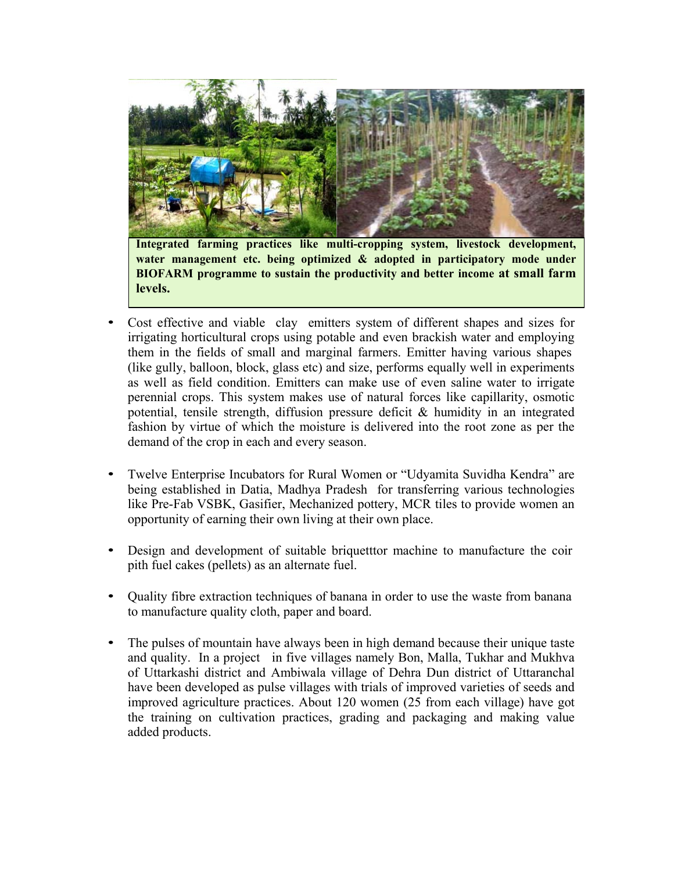

**Integrated farming practices like multi-cropping system, livestock development, water management etc. being optimized & adopted in participatory mode under BIOFARM programme to sustain the productivity and better income at small farm levels.**

- Cost effective and viable clay emitters system of different shapes and sizes for irrigating horticultural crops using potable and even brackish water and employing them in the fields of small and marginal farmers. Emitter having various shapes (like gully, balloon, block, glass etc) and size, performs equally well in experiments as well as field condition. Emitters can make use of even saline water to irrigate perennial crops. This system makes use of natural forces like capillarity, osmotic potential, tensile strength, diffusion pressure deficit & humidity in an integrated fashion by virtue of which the moisture is delivered into the root zone as per the demand of the crop in each and every season.
- Twelve Enterprise Incubators for Rural Women or "Udyamita Suvidha Kendra" are being established in Datia, Madhya Pradesh for transferring various technologies like Pre-Fab VSBK, Gasifier, Mechanized pottery, MCR tiles to provide women an opportunity of earning their own living at their own place.
- Design and development of suitable briquetttor machine to manufacture the coir pith fuel cakes (pellets) as an alternate fuel.
- Quality fibre extraction techniques of banana in order to use the waste from banana to manufacture quality cloth, paper and board.
- The pulses of mountain have always been in high demand because their unique taste and quality. In a project in five villages namely Bon, Malla, Tukhar and Mukhva of Uttarkashi district and Ambiwala village of Dehra Dun district of Uttaranchal have been developed as pulse villages with trials of improved varieties of seeds and improved agriculture practices. About 120 women (25 from each village) have got the training on cultivation practices, grading and packaging and making value added products.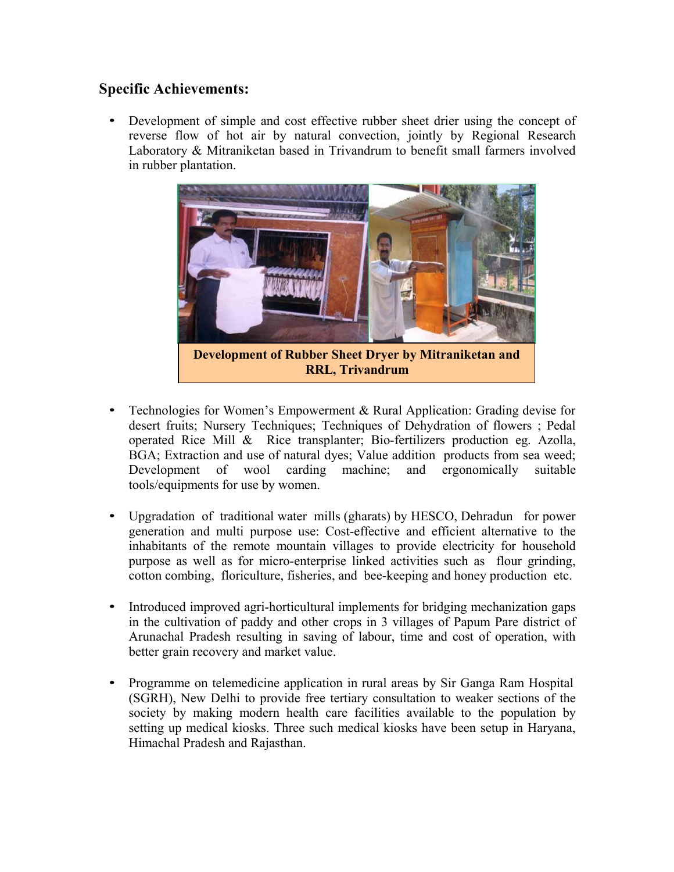## **Specific Achievements:**

• Development of simple and cost effective rubber sheet drier using the concept of reverse flow of hot air by natural convection, jointly by Regional Research Laboratory & Mitraniketan based in Trivandrum to benefit small farmers involved in rubber plantation.



- Technologies for Women's Empowerment & Rural Application: Grading devise for desert fruits; Nursery Techniques; Techniques of Dehydration of flowers ; Pedal operated Rice Mill & Rice transplanter; Bio-fertilizers production eg. Azolla, BGA; Extraction and use of natural dyes; Value addition products from sea weed; Development of wool carding machine; and ergonomically suitable tools/equipments for use by women.
- Upgradation of traditional water mills (gharats) by HESCO, Dehradun for power generation and multi purpose use: Cost-effective and efficient alternative to the inhabitants of the remote mountain villages to provide electricity for household purpose as well as for micro-enterprise linked activities such as flour grinding, cotton combing, floriculture, fisheries, and bee-keeping and honey production etc.
- Introduced improved agri-horticultural implements for bridging mechanization gaps in the cultivation of paddy and other crops in 3 villages of Papum Pare district of Arunachal Pradesh resulting in saving of labour, time and cost of operation, with better grain recovery and market value.
- Programme on telemedicine application in rural areas by Sir Ganga Ram Hospital (SGRH), New Delhi to provide free tertiary consultation to weaker sections of the society by making modern health care facilities available to the population by setting up medical kiosks. Three such medical kiosks have been setup in Haryana, Himachal Pradesh and Rajasthan.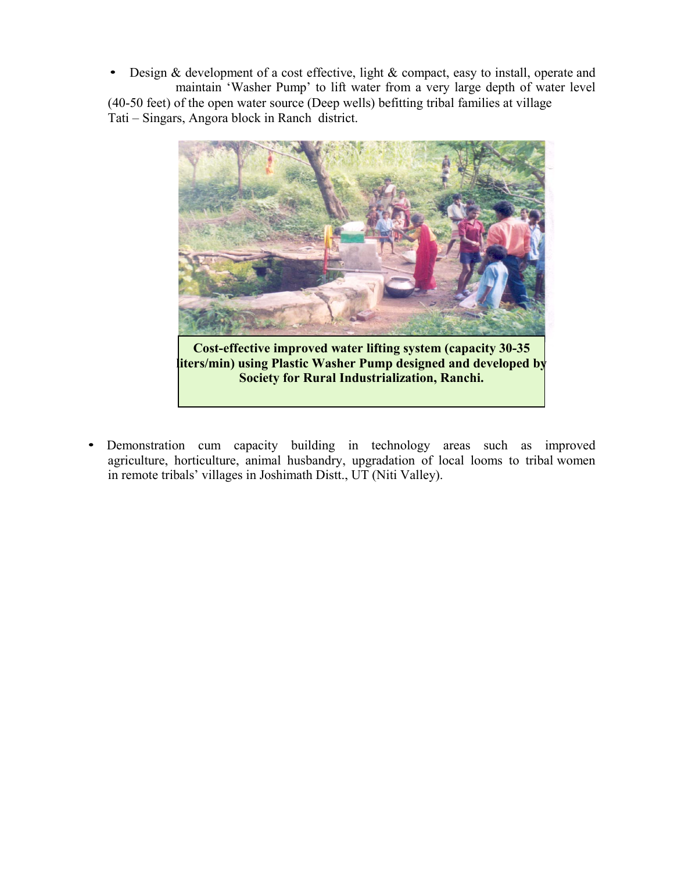• Design & development of a cost effective, light & compact, easy to install, operate and maintain 'Washer Pump' to lift water from a very large depth of water level (40-50 feet) of the open water source (Deep wells) befitting tribal families at village Tati – Singars, Angora block in Ranch district.



**Society for Rural Industrialization, Ranchi.**

• Demonstration cum capacity building in technology areas such as improved agriculture, horticulture, animal husbandry, upgradation of local looms to tribal women in remote tribals' villages in Joshimath Distt., UT (Niti Valley).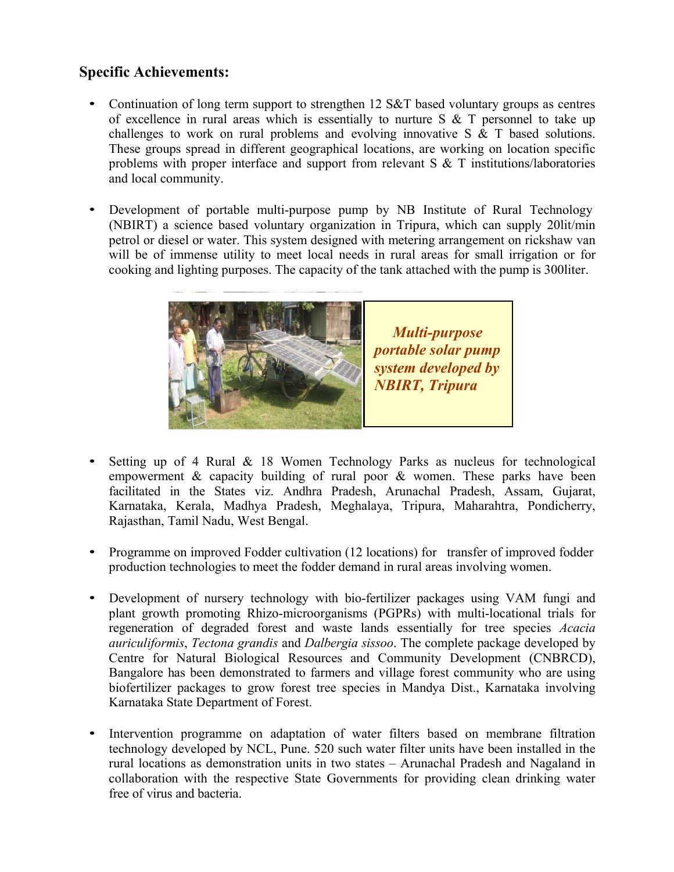## **Specific Achievements:**

- Continuation of long term support to strengthen 12 S&T based voluntary groups as centres of excellence in rural areas which is essentially to nurture  $S \& T$  personnel to take up challenges to work on rural problems and evolving innovative S & T based solutions. These groups spread in different geographical locations, are working on location specific problems with proper interface and support from relevant S & T institutions/laboratories and local community.
- Development of portable multi-purpose pump by NB Institute of Rural Technology (NBIRT) a science based voluntary organization in Tripura, which can supply 20lit/min petrol or diesel or water. This system designed with metering arrangement on rickshaw van will be of immense utility to meet local needs in rural areas for small irrigation or for cooking and lighting purposes. The capacity of the tank attached with the pump is 300liter.



- Setting up of 4 Rural  $\&$  18 Women Technology Parks as nucleus for technological empowerment & capacity building of rural poor & women. These parks have been facilitated in the States viz. Andhra Pradesh, Arunachal Pradesh, Assam, Gujarat, Karnataka, Kerala, Madhya Pradesh, Meghalaya, Tripura, Maharahtra, Pondicherry, Rajasthan, Tamil Nadu, West Bengal.
- Programme on improved Fodder cultivation (12 locations) for transfer of improved fodder production technologies to meet the fodder demand in rural areas involving women.
- Development of nursery technology with bio-fertilizer packages using VAM fungi and plant growth promoting Rhizo-microorganisms (PGPRs) with multi-locational trials for regeneration of degraded forest and waste lands essentially for tree species *Acacia auriculiformis*, *Tectona grandis* and *Dalbergia sissoo*. The complete package developed by Centre for Natural Biological Resources and Community Development (CNBRCD), Bangalore has been demonstrated to farmers and village forest community who are using biofertilizer packages to grow forest tree species in Mandya Dist., Karnataka involving Karnataka State Department of Forest.
- Intervention programme on adaptation of water filters based on membrane filtration technology developed by NCL, Pune. 520 such water filter units have been installed in the rural locations as demonstration units in two states – Arunachal Pradesh and Nagaland in collaboration with the respective State Governments for providing clean drinking water free of virus and bacteria.